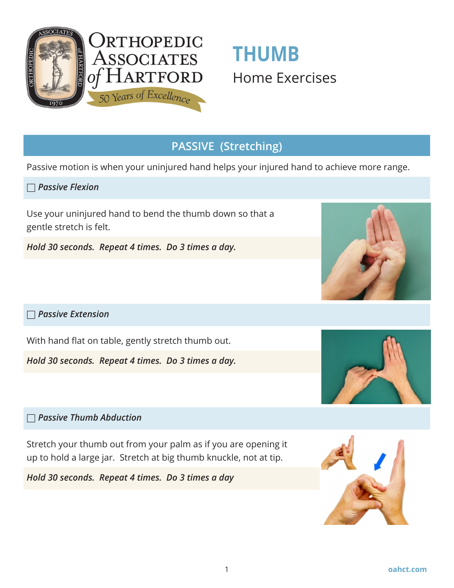

# **THUMB**  Home Exercises

## **PASSIVE (Stretching)**

Passive motion is when your uninjured hand helps your injured hand to achieve more range.

□ *Passive Flexion*

Use your uninjured hand to bend the thumb down so that a gentle stretch is felt.

*Hold 30 seconds. Repeat 4 times. Do 3 times a day.*

#### □ *Passive Extension*

With hand flat on table, gently stretch thumb out.

*Hold 30 seconds. Repeat 4 times. Do 3 times a day.*

□ *Passive Thumb Abduction*

Stretch your thumb out from your palm as if you are opening it up to hold a large jar. Stretch at big thumb knuckle, not at tip.

*Hold 30 seconds. Repeat 4 times. Do 3 times a day*







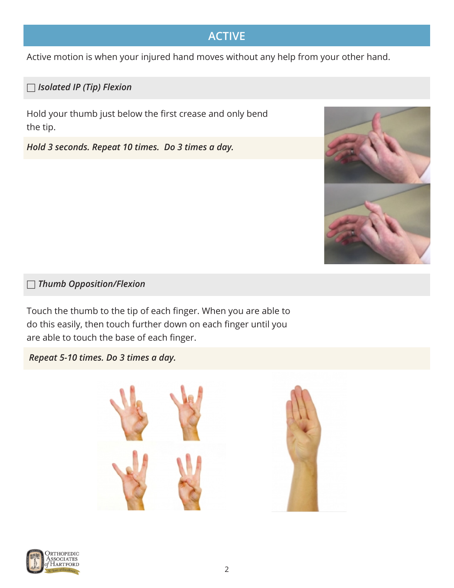# **ACTIVE**

Active motion is when your injured hand moves without any help from your other hand.

#### □ *Isolated IP (Tip) Flexion*

Hold your thumb just below the first crease and only bend the tip.

*Hold 3 seconds. Repeat 10 times. Do 3 times a day.*



#### □ *Thumb Opposition/Flexion*

Touch the thumb to the tip of each finger. When you are able to do this easily, then touch further down on each finger until you are able to touch the base of each finger.

 *Repeat 5-10 times. Do 3 times a day.*